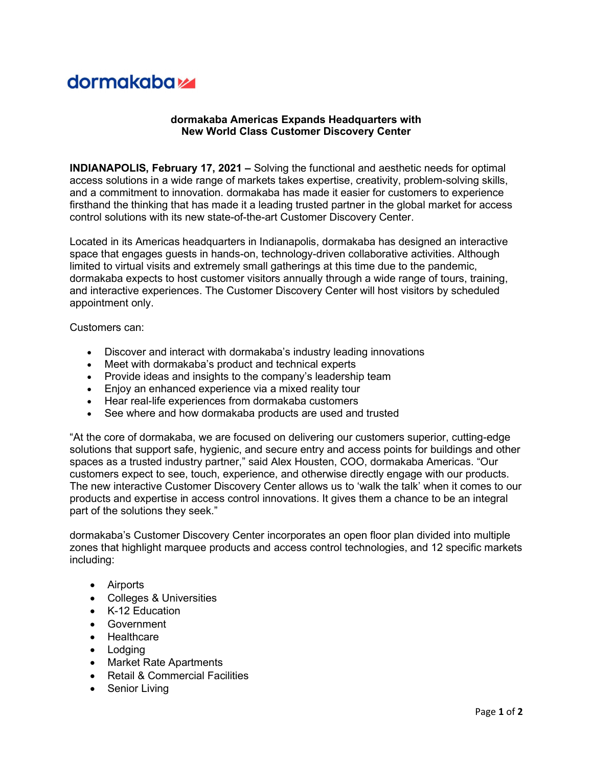## **dormakabazz**

## dormakaba Americas Expands Headquarters with New World Class Customer Discovery Center

INDIANAPOLIS, February 17, 2021 – Solving the functional and aesthetic needs for optimal access solutions in a wide range of markets takes expertise, creativity, problem-solving skills, and a commitment to innovation. dormakaba has made it easier for customers to experience firsthand the thinking that has made it a leading trusted partner in the global market for access control solutions with its new state-of-the-art Customer Discovery Center.

Located in its Americas headquarters in Indianapolis, dormakaba has designed an interactive space that engages guests in hands-on, technology-driven collaborative activities. Although limited to virtual visits and extremely small gatherings at this time due to the pandemic, dormakaba expects to host customer visitors annually through a wide range of tours, training, and interactive experiences. The Customer Discovery Center will host visitors by scheduled appointment only.

Customers can:

- Discover and interact with dormakaba's industry leading innovations
- Meet with dormakaba's product and technical experts
- Provide ideas and insights to the company's leadership team
- Enjoy an enhanced experience via a mixed reality tour
- Hear real-life experiences from dormakaba customers
- See where and how dormakaba products are used and trusted

"At the core of dormakaba, we are focused on delivering our customers superior, cutting-edge solutions that support safe, hygienic, and secure entry and access points for buildings and other spaces as a trusted industry partner," said Alex Housten, COO, dormakaba Americas. "Our customers expect to see, touch, experience, and otherwise directly engage with our products. The new interactive Customer Discovery Center allows us to 'walk the talk' when it comes to our products and expertise in access control innovations. It gives them a chance to be an integral part of the solutions they seek."

dormakaba's Customer Discovery Center incorporates an open floor plan divided into multiple zones that highlight marquee products and access control technologies, and 12 specific markets including:

- Airports
- Colleges & Universities
- K-12 Education
- Government
- Healthcare
- Lodging
- Market Rate Apartments
- Retail & Commercial Facilities
- Senior Living